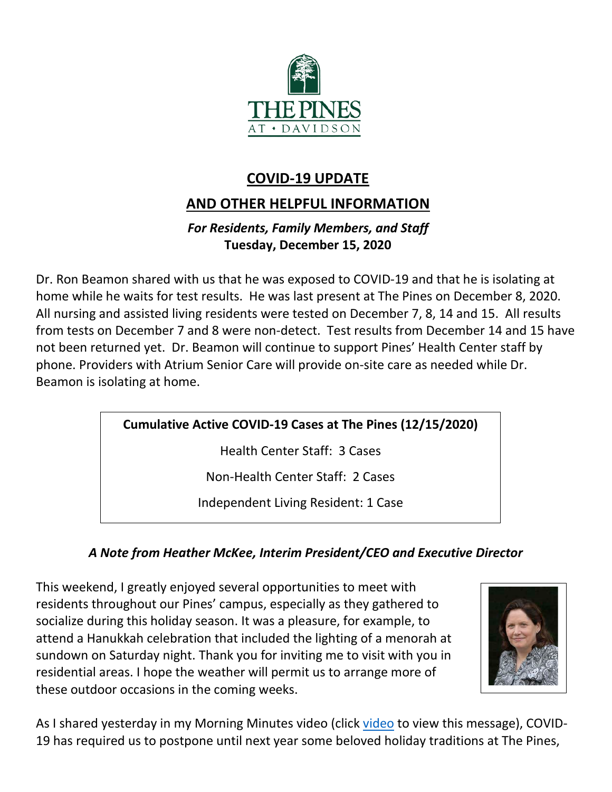

# **COVID-19 UPDATE**

# **AND OTHER HELPFUL INFORMATION**

### *For Residents, Family Members, and Staff* **Tuesday, December 15, 2020**

Dr. Ron Beamon shared with us that he was exposed to COVID-19 and that he is isolating at home while he waits for test results. He was last present at The Pines on December 8, 2020. All nursing and assisted living residents were tested on December 7, 8, 14 and 15. All results from tests on December 7 and 8 were non-detect. Test results from December 14 and 15 have not been returned yet. Dr. Beamon will continue to support Pines' Health Center staff by phone. Providers with Atrium Senior Care will provide on-site care as needed while Dr. Beamon is isolating at home.

## **Cumulative Active COVID-19 Cases at The Pines (12/15/2020)**

Health Center Staff: 3 Cases

Non-Health Center Staff: 2 Cases

Independent Living Resident: 1 Case

## *A Note from Heather McKee, Interim President/CEO and Executive Director*

This weekend, I greatly enjoyed several opportunities to meet with residents throughout our Pines' campus, especially as they gathered to socialize during this holiday season. It was a pleasure, for example, to attend a Hanukkah celebration that included the lighting of a menorah at sundown on Saturday night. Thank you for inviting me to visit with you in residential areas. I hope the weather will permit us to arrange more of these outdoor occasions in the coming weeks.



As I shared yesterday in my Morning Minutes [video](https://youtu.be/Iv1TkiNWiaw) (click video to view this message), COVID-19 has required us to postpone until next year some beloved holiday traditions at The Pines,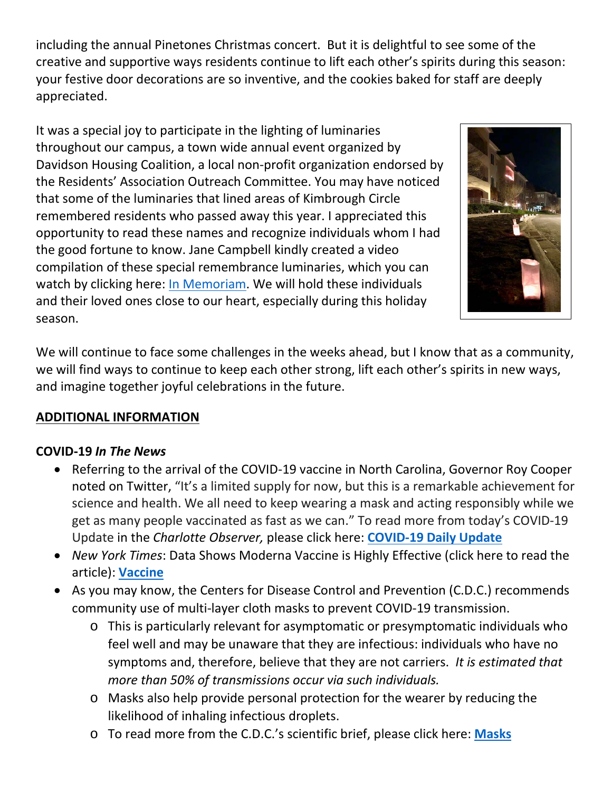including the annual Pinetones Christmas concert. But it is delightful to see some of the creative and supportive ways residents continue to lift each other's spirits during this season: your festive door decorations are so inventive, and the cookies baked for staff are deeply appreciated.

It was a special joy to participate in the lighting of luminaries throughout our campus, a town wide annual event organized by Davidson Housing Coalition, a local non-profit organization endorsed by the Residents' Association Outreach Committee. You may have noticed that some of the luminaries that lined areas of Kimbrough Circle remembered residents who passed away this year. I appreciated this opportunity to read these names and recognize individuals whom I had the good fortune to know. Jane Campbell kindly created a video compilation of these special remembrance luminaries, which you can watch by clicking here: [In Memoriam.](https://www.youtube.com/watch?v=naG--hTXrZ8&feature=youtu.be) We will hold these individuals and their loved ones close to our heart, especially during this holiday season.



We will continue to face some challenges in the weeks ahead, but I know that as a community, we will find ways to continue to keep each other strong, lift each other's spirits in new ways, and imagine together joyful celebrations in the future.

#### **ADDITIONAL INFORMATION**

#### **COVID-19** *In The News*

- Referring to the arrival of the COVID-19 vaccine in North Carolina, Governor Roy Cooper noted on Twitter, "It's a limited supply for now, but this is a remarkable achievement for science and health. We all need to keep wearing a mask and acting responsibly while we get as many people vaccinated as fast as we can." To read more from today's COVID-19 Update in the *Charlotte Observer,* please click here: **[COVID-19 Daily Update](https://www.charlotteobserver.com/news/coronavirus/article247845000.html)**
- *New York Times*: Data Shows Moderna Vaccine is Highly Effective (click here to read the article): **[Vaccine](https://www.nytimes.com/2020/12/15/health/covid-moderna-vaccine.html)**
- As you may know, the Centers for Disease Control and Prevention (C.D.C.) recommends community use of multi-layer cloth masks to prevent COVID-19 transmission.
	- o This is particularly relevant for asymptomatic or presymptomatic individuals who feel well and may be unaware that they are infectious: individuals who have no symptoms and, therefore, believe that they are not carriers. *It is estimated that more than 50% of transmissions occur via such individuals.*
	- o Masks also help provide personal protection for the wearer by reducing the likelihood of inhaling infectious droplets.
	- o To read more from the C.D.C.'s scientific brief, please click here: **[Masks](https://www.cdc.gov/coronavirus/2019-ncov/more/masking-science-sars-cov2.html?ACSTrackingID=USCDC_1052-DM42364&ACSTrackingLabel=COCA%20Now%3A%20Scientific%20Brief%3A%20Community%20Use%20of%20Cloth%20Masks%20to%20Control%20Spread%20of%20SARS-CoV-2%20&deliveryName=USCDC_1052-DM42364)**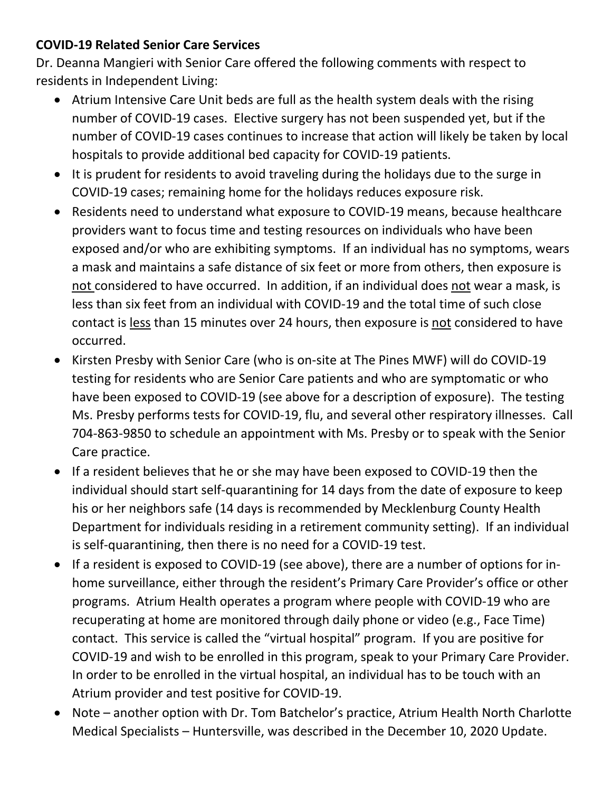#### **COVID-19 Related Senior Care Services**

Dr. Deanna Mangieri with Senior Care offered the following comments with respect to residents in Independent Living:

- Atrium Intensive Care Unit beds are full as the health system deals with the rising number of COVID-19 cases. Elective surgery has not been suspended yet, but if the number of COVID-19 cases continues to increase that action will likely be taken by local hospitals to provide additional bed capacity for COVID-19 patients.
- It is prudent for residents to avoid traveling during the holidays due to the surge in COVID-19 cases; remaining home for the holidays reduces exposure risk.
- Residents need to understand what exposure to COVID-19 means, because healthcare providers want to focus time and testing resources on individuals who have been exposed and/or who are exhibiting symptoms. If an individual has no symptoms, wears a mask and maintains a safe distance of six feet or more from others, then exposure is not considered to have occurred. In addition, if an individual does not wear a mask, is less than six feet from an individual with COVID-19 and the total time of such close contact is less than 15 minutes over 24 hours, then exposure is not considered to have occurred.
- Kirsten Presby with Senior Care (who is on-site at The Pines MWF) will do COVID-19 testing for residents who are Senior Care patients and who are symptomatic or who have been exposed to COVID-19 (see above for a description of exposure). The testing Ms. Presby performs tests for COVID-19, flu, and several other respiratory illnesses. Call 704-863-9850 to schedule an appointment with Ms. Presby or to speak with the Senior Care practice.
- If a resident believes that he or she may have been exposed to COVID-19 then the individual should start self-quarantining for 14 days from the date of exposure to keep his or her neighbors safe (14 days is recommended by Mecklenburg County Health Department for individuals residing in a retirement community setting). If an individual is self-quarantining, then there is no need for a COVID-19 test.
- If a resident is exposed to COVID-19 (see above), there are a number of options for inhome surveillance, either through the resident's Primary Care Provider's office or other programs. Atrium Health operates a program where people with COVID-19 who are recuperating at home are monitored through daily phone or video (e.g., Face Time) contact. This service is called the "virtual hospital" program. If you are positive for COVID-19 and wish to be enrolled in this program, speak to your Primary Care Provider. In order to be enrolled in the virtual hospital, an individual has to be touch with an Atrium provider and test positive for COVID-19.
- Note another option with Dr. Tom Batchelor's practice, Atrium Health North Charlotte Medical Specialists – Huntersville, was described in the December 10, 2020 Update.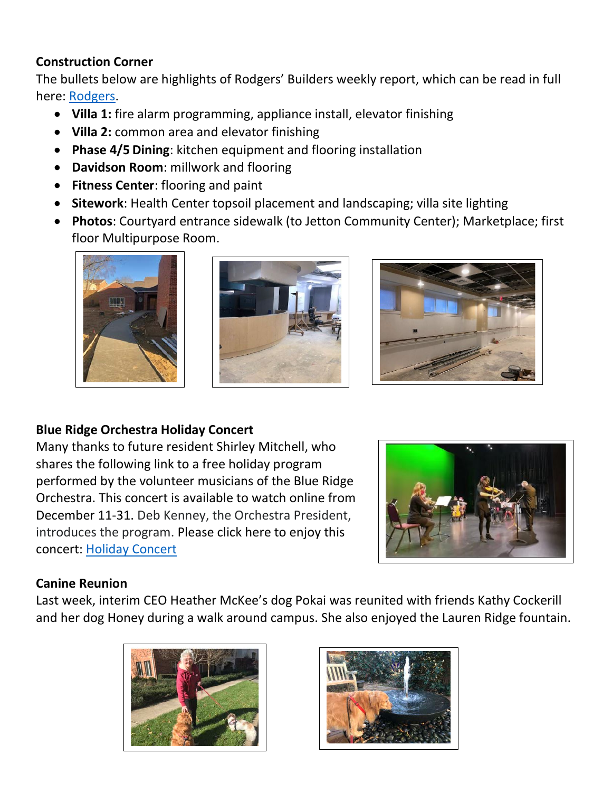#### **Construction Corner**

The bullets below are highlights of Rodgers' Builders weekly report, which can be read in full here: [Rodgers.](https://www.mycommunity-center.com/filephotos/463/2020-12-11%20Weekly%20Update.pdf)

- **Villa 1:** fire alarm programming, appliance install, elevator finishing
- **Villa 2:** common area and elevator finishing
- **Phase 4/5 Dining**: kitchen equipment and flooring installation
- **Davidson Room**: millwork and flooring
- **Fitness Center**: flooring and paint
- **Sitework**: Health Center topsoil placement and landscaping; villa site lighting
- **Photos**: Courtyard entrance sidewalk (to Jetton Community Center); Marketplace; first floor Multipurpose Room.







#### **Blue Ridge Orchestra Holiday Concert**

Many thanks to future resident Shirley Mitchell, who shares the following link to a free holiday program performed by the volunteer musicians of the Blue Ridge Orchestra. This concert is available to watch online from December 11-31. Deb Kenney, the Orchestra President, introduces the program. Please click here to enjoy this concert: [Holiday Concert](https://www.blueridgeorchestra.org/bro-revels-2020)



#### **Canine Reunion**

Last week, interim CEO Heather McKee's dog Pokai was reunited with friends Kathy Cockerill and her dog Honey during a walk around campus. She also enjoyed the Lauren Ridge fountain.